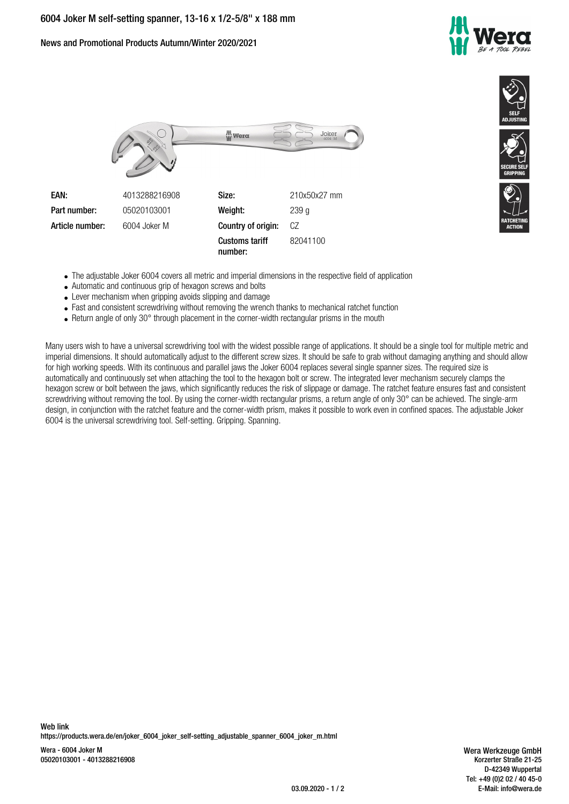News and Promotional Products Autumn/Winter 2020/2021







The adjustable Joker 6004 covers all metric and imperial dimensions in the respective field of application

**number:**

- Automatic and continuous grip of hexagon screws and bolts
- Lever mechanism when gripping avoids slipping and damage
- Fast and consistent screwdriving without removing the wrench thanks to mechanical ratchet function
- Return angle of only 30° through placement in the corner-width rectangular prisms in the mouth

Many users wish to have a universal screwdriving tool with the widest possible range of applications. It should be a single tool for multiple metric and imperial dimensions. It should automatically adjust to the different screw sizes. It should be safe to grab without damaging anything and should allow for high working speeds. With its continuous and parallel jaws the Joker 6004 replaces several single spanner sizes. The required size is automatically and continuously set when attaching the tool to the hexagon bolt or screw. The integrated lever mechanism securely clamps the hexagon screw or bolt between the jaws, which significantly reduces the risk of slippage or damage. The ratchet feature ensures fast and consistent screwdriving without removing the tool. By using the corner-width rectangular prisms, a return angle of only 30° can be achieved. The single-arm design, in conjunction with the ratchet feature and the corner-width prism, makes it possible to work even in confined spaces. The adjustable Joker 6004 is the universal screwdriving tool. Self-setting. Gripping. Spanning.